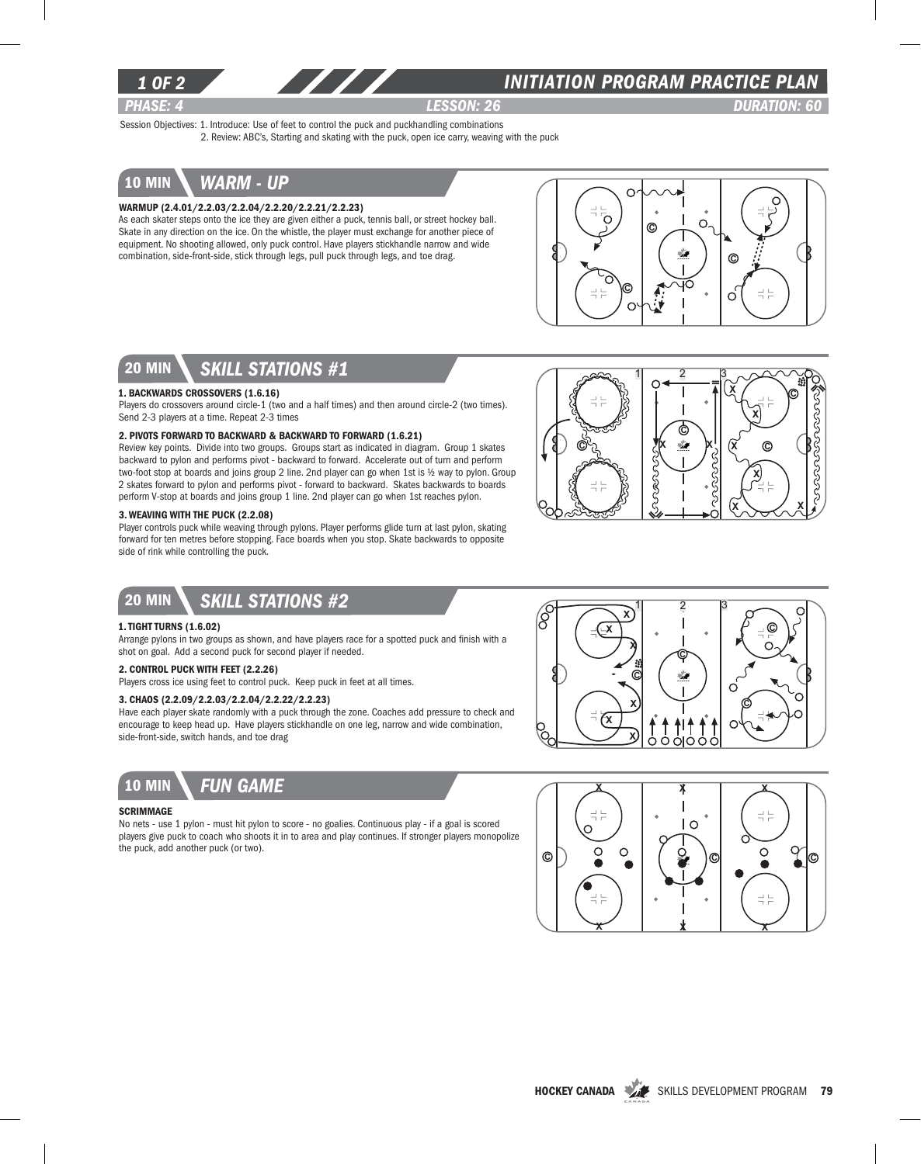

### *INITIATION program PRACTICE PLAN*

*PHASE: 4 lesson: 26 DURATION: 60* 

Session Objectives: 1. Introduce: Use of feet to control the puck and puckhandling combinations 2. Review: ABC's, Starting and skating with the puck, open ice carry, weaving with the puck

### 10 min *warm - up*

#### Warmup (2.4.01/2.2.03/2.2.04/2.2.20/2.2.21/2.2.23)

As each skater steps onto the ice they are given either a puck, tennis ball, or street hockey ball. Skate in any direction on the ice. On the whistle, the player must exchange for another piece of equipment. No shooting allowed, only puck control. Have players stickhandle narrow and wide combination, side-front-side, stick through legs, pull puck through legs, and toe drag.



## 20 min *skill stations #1*

#### 1. Backwards Crossovers (1.6.16)

Players do crossovers around circle-1 (two and a half times) and then around circle-2 (two times). Send 2-3 players at a time. Repeat 2-3 times

#### 2. Pivots Forward to Backward & Backward to Forward (1.6.21)

Review key points. Divide into two groups. Groups start as indicated in diagram. Group 1 skates backward to pylon and performs pivot - backward to forward. Accelerate out of turn and perform two-foot stop at boards and joins group 2 line. 2nd player can go when 1st is ½ way to pylon. Group 2 skates forward to pylon and performs pivot - forward to backward. Skates backwards to boards perform V-stop at boards and joins group 1 line. 2nd player can go when 1st reaches pylon.

#### 3. Weaving with the Puck (2.2.08)

Player controls puck while weaving through pylons. Player performs glide turn at last pylon, skating forward for ten metres before stopping. Face boards when you stop. Skate backwards to opposite side of rink while controlling the puck.



### 20 min *Skill stations #2*

#### 1. Tight Turns (1.6.02)

Arrange pylons in two groups as shown, and have players race for a spotted puck and finish with a shot on goal. Add a second puck for second player if needed.

### 2. Control Puck With Feet (2.2.26)

Players cross ice using feet to control puck. Keep puck in feet at all times.

#### 3. Chaos (2.2.09/2.2.03/2.2.04/2.2.22/2.2.23)

Have each player skate randomly with a puck through the zone. Coaches add pressure to check and encourage to keep head up. Have players stickhandle on one leg, narrow and wide combination, side-front-side, switch hands, and toe drag



#### **SCRIMMAGE**

No nets - use 1 pylon - must hit pylon to score - no goalies. Continuous play - if a goal is scored players give puck to coach who shoots it in to area and play continues. If stronger players monopolize the puck, add another puck (or two).